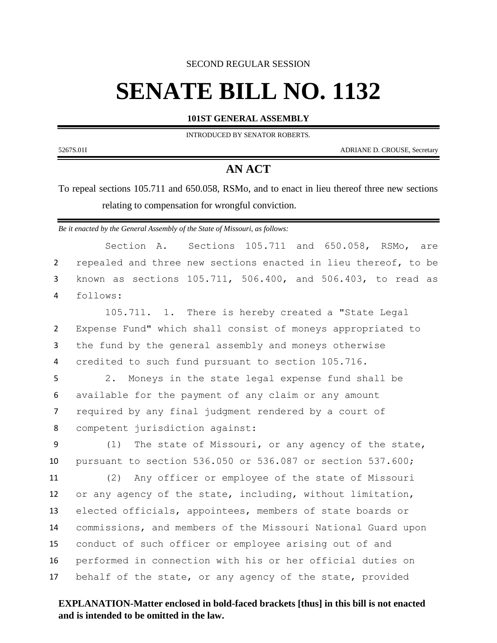SECOND REGULAR SESSION

## **SENATE BILL NO. 1132**

**101ST GENERAL ASSEMBLY**

INTRODUCED BY SENATOR ROBERTS.

5267S.01I ADRIANE D. CROUSE, Secretary

## **AN ACT**

To repeal sections 105.711 and 650.058, RSMo, and to enact in lieu thereof three new sections relating to compensation for wrongful conviction.

*Be it enacted by the General Assembly of the State of Missouri, as follows:*

|                | Sections 105.711 and 650.058, RSMo, are<br>Section A.          |
|----------------|----------------------------------------------------------------|
| $\overline{2}$ | repealed and three new sections enacted in lieu thereof, to be |
| 3              | known as sections 105.711, 506.400, and 506.403, to read as    |
| 4              | follows:                                                       |
|                | 105.711. 1. There is hereby created a "State Legal             |
| $\overline{2}$ | Expense Fund" which shall consist of moneys appropriated to    |
| 3              | the fund by the general assembly and moneys otherwise          |
| 4              | credited to such fund pursuant to section 105.716.             |
| 5              | Moneys in the state legal expense fund shall be<br>2.          |
| 6              | available for the payment of any claim or any amount           |
| $\overline{7}$ | required by any final judgment rendered by a court of          |
| 8              | competent jurisdiction against:                                |
| 9              | The state of Missouri, or any agency of the state,<br>(1)      |
| 10             | pursuant to section 536.050 or 536.087 or section 537.600;     |
| 11             | Any officer or employee of the state of Missouri<br>(2)        |
| 12             | or any agency of the state, including, without limitation,     |
| 13             | elected officials, appointees, members of state boards or      |
| 14             | commissions, and members of the Missouri National Guard upon   |
| 15             | conduct of such officer or employee arising out of and         |
| 16             | performed in connection with his or her official duties on     |
| 17             | behalf of the state, or any agency of the state, provided      |

## **EXPLANATION-Matter enclosed in bold-faced brackets [thus] in this bill is not enacted and is intended to be omitted in the law.**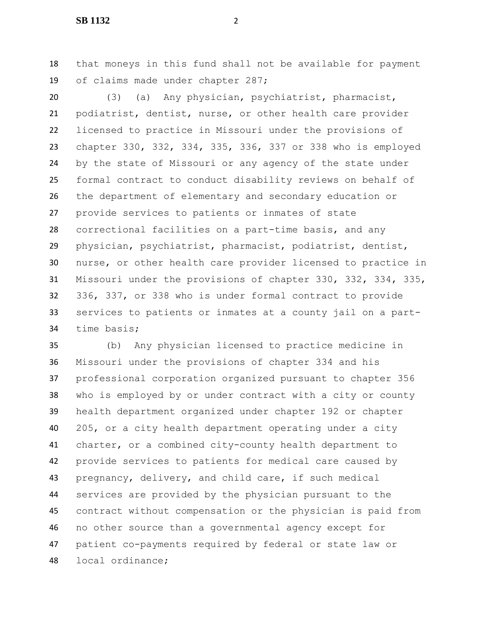that moneys in this fund shall not be available for payment of claims made under chapter 287;

 (3) (a) Any physician, psychiatrist, pharmacist, podiatrist, dentist, nurse, or other health care provider licensed to practice in Missouri under the provisions of chapter 330, 332, 334, 335, 336, 337 or 338 who is employed by the state of Missouri or any agency of the state under formal contract to conduct disability reviews on behalf of the department of elementary and secondary education or provide services to patients or inmates of state correctional facilities on a part-time basis, and any physician, psychiatrist, pharmacist, podiatrist, dentist, nurse, or other health care provider licensed to practice in Missouri under the provisions of chapter 330, 332, 334, 335, 336, 337, or 338 who is under formal contract to provide services to patients or inmates at a county jail on a part-time basis;

 (b) Any physician licensed to practice medicine in Missouri under the provisions of chapter 334 and his professional corporation organized pursuant to chapter 356 who is employed by or under contract with a city or county health department organized under chapter 192 or chapter 205, or a city health department operating under a city charter, or a combined city-county health department to provide services to patients for medical care caused by pregnancy, delivery, and child care, if such medical services are provided by the physician pursuant to the contract without compensation or the physician is paid from no other source than a governmental agency except for patient co-payments required by federal or state law or local ordinance;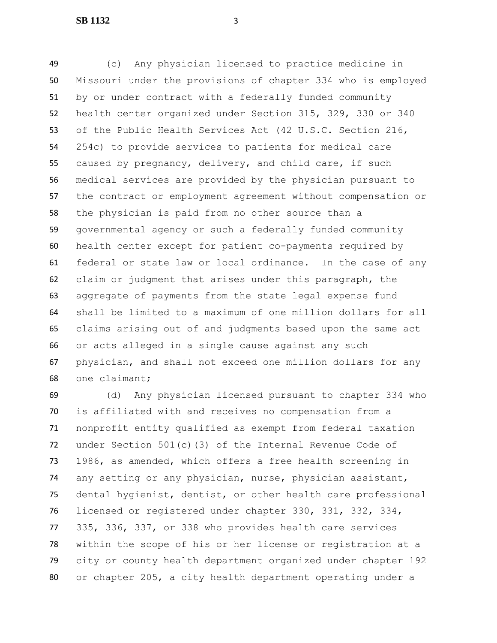**SB 1132** 3

 (c) Any physician licensed to practice medicine in Missouri under the provisions of chapter 334 who is employed by or under contract with a federally funded community health center organized under Section 315, 329, 330 or 340 of the Public Health Services Act (42 U.S.C. Section 216, 254c) to provide services to patients for medical care caused by pregnancy, delivery, and child care, if such medical services are provided by the physician pursuant to the contract or employment agreement without compensation or the physician is paid from no other source than a governmental agency or such a federally funded community health center except for patient co-payments required by federal or state law or local ordinance. In the case of any claim or judgment that arises under this paragraph, the aggregate of payments from the state legal expense fund shall be limited to a maximum of one million dollars for all claims arising out of and judgments based upon the same act or acts alleged in a single cause against any such physician, and shall not exceed one million dollars for any one claimant;

 (d) Any physician licensed pursuant to chapter 334 who is affiliated with and receives no compensation from a nonprofit entity qualified as exempt from federal taxation under Section 501(c)(3) of the Internal Revenue Code of 1986, as amended, which offers a free health screening in any setting or any physician, nurse, physician assistant, dental hygienist, dentist, or other health care professional licensed or registered under chapter 330, 331, 332, 334, 335, 336, 337, or 338 who provides health care services within the scope of his or her license or registration at a city or county health department organized under chapter 192 or chapter 205, a city health department operating under a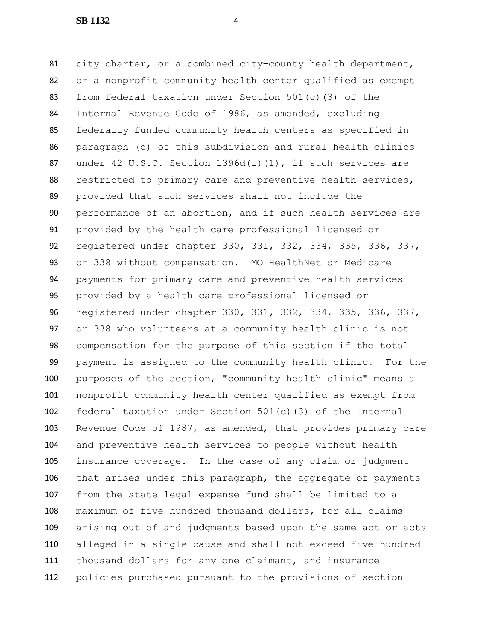**SB 1132** 4

 city charter, or a combined city-county health department, or a nonprofit community health center qualified as exempt from federal taxation under Section 501(c)(3) of the Internal Revenue Code of 1986, as amended, excluding federally funded community health centers as specified in paragraph (c) of this subdivision and rural health clinics 87 under 42 U.S.C. Section 1396d(1)(1), if such services are restricted to primary care and preventive health services, provided that such services shall not include the performance of an abortion, and if such health services are provided by the health care professional licensed or registered under chapter 330, 331, 332, 334, 335, 336, 337, or 338 without compensation. MO HealthNet or Medicare payments for primary care and preventive health services provided by a health care professional licensed or registered under chapter 330, 331, 332, 334, 335, 336, 337, or 338 who volunteers at a community health clinic is not compensation for the purpose of this section if the total payment is assigned to the community health clinic. For the purposes of the section, "community health clinic" means a nonprofit community health center qualified as exempt from federal taxation under Section 501(c)(3) of the Internal Revenue Code of 1987, as amended, that provides primary care and preventive health services to people without health insurance coverage. In the case of any claim or judgment that arises under this paragraph, the aggregate of payments from the state legal expense fund shall be limited to a maximum of five hundred thousand dollars, for all claims arising out of and judgments based upon the same act or acts alleged in a single cause and shall not exceed five hundred thousand dollars for any one claimant, and insurance policies purchased pursuant to the provisions of section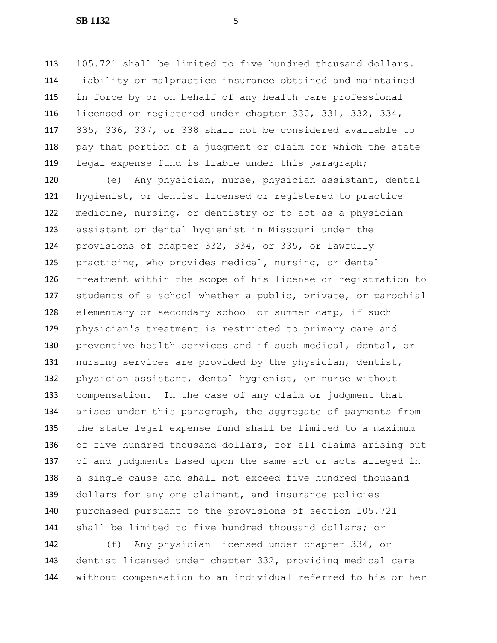105.721 shall be limited to five hundred thousand dollars. Liability or malpractice insurance obtained and maintained in force by or on behalf of any health care professional licensed or registered under chapter 330, 331, 332, 334, 335, 336, 337, or 338 shall not be considered available to pay that portion of a judgment or claim for which the state legal expense fund is liable under this paragraph;

 (e) Any physician, nurse, physician assistant, dental hygienist, or dentist licensed or registered to practice medicine, nursing, or dentistry or to act as a physician assistant or dental hygienist in Missouri under the provisions of chapter 332, 334, or 335, or lawfully practicing, who provides medical, nursing, or dental treatment within the scope of his license or registration to students of a school whether a public, private, or parochial elementary or secondary school or summer camp, if such physician's treatment is restricted to primary care and preventive health services and if such medical, dental, or nursing services are provided by the physician, dentist, physician assistant, dental hygienist, or nurse without compensation. In the case of any claim or judgment that arises under this paragraph, the aggregate of payments from the state legal expense fund shall be limited to a maximum of five hundred thousand dollars, for all claims arising out of and judgments based upon the same act or acts alleged in a single cause and shall not exceed five hundred thousand 139 dollars for any one claimant, and insurance policies purchased pursuant to the provisions of section 105.721 shall be limited to five hundred thousand dollars; or

 (f) Any physician licensed under chapter 334, or dentist licensed under chapter 332, providing medical care without compensation to an individual referred to his or her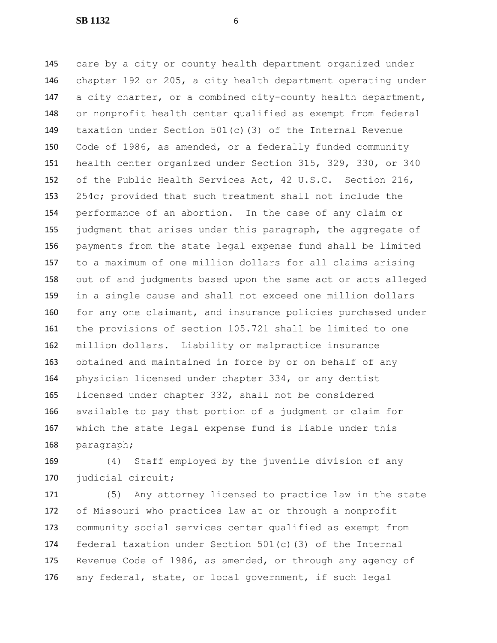**SB 1132** 6

 care by a city or county health department organized under chapter 192 or 205, a city health department operating under a city charter, or a combined city-county health department, or nonprofit health center qualified as exempt from federal taxation under Section 501(c)(3) of the Internal Revenue Code of 1986, as amended, or a federally funded community health center organized under Section 315, 329, 330, or 340 of the Public Health Services Act, 42 U.S.C. Section 216, 254c; provided that such treatment shall not include the performance of an abortion. In the case of any claim or judgment that arises under this paragraph, the aggregate of payments from the state legal expense fund shall be limited to a maximum of one million dollars for all claims arising out of and judgments based upon the same act or acts alleged in a single cause and shall not exceed one million dollars 160 for any one claimant, and insurance policies purchased under the provisions of section 105.721 shall be limited to one million dollars. Liability or malpractice insurance obtained and maintained in force by or on behalf of any physician licensed under chapter 334, or any dentist licensed under chapter 332, shall not be considered available to pay that portion of a judgment or claim for which the state legal expense fund is liable under this paragraph;

 (4) Staff employed by the juvenile division of any judicial circuit;

 (5) Any attorney licensed to practice law in the state of Missouri who practices law at or through a nonprofit community social services center qualified as exempt from federal taxation under Section 501(c)(3) of the Internal Revenue Code of 1986, as amended, or through any agency of any federal, state, or local government, if such legal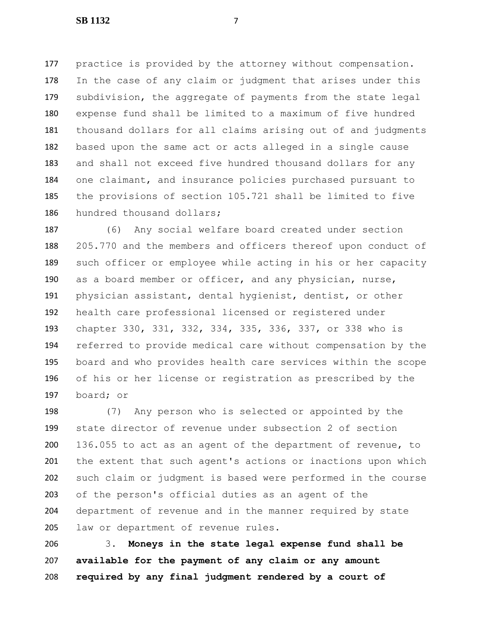practice is provided by the attorney without compensation. In the case of any claim or judgment that arises under this subdivision, the aggregate of payments from the state legal expense fund shall be limited to a maximum of five hundred thousand dollars for all claims arising out of and judgments based upon the same act or acts alleged in a single cause and shall not exceed five hundred thousand dollars for any one claimant, and insurance policies purchased pursuant to the provisions of section 105.721 shall be limited to five hundred thousand dollars;

 (6) Any social welfare board created under section 205.770 and the members and officers thereof upon conduct of such officer or employee while acting in his or her capacity as a board member or officer, and any physician, nurse, physician assistant, dental hygienist, dentist, or other health care professional licensed or registered under chapter 330, 331, 332, 334, 335, 336, 337, or 338 who is referred to provide medical care without compensation by the board and who provides health care services within the scope of his or her license or registration as prescribed by the board; or

 (7) Any person who is selected or appointed by the state director of revenue under subsection 2 of section 136.055 to act as an agent of the department of revenue, to the extent that such agent's actions or inactions upon which such claim or judgment is based were performed in the course of the person's official duties as an agent of the department of revenue and in the manner required by state law or department of revenue rules.

 3. **Moneys in the state legal expense fund shall be available for the payment of any claim or any amount required by any final judgment rendered by a court of**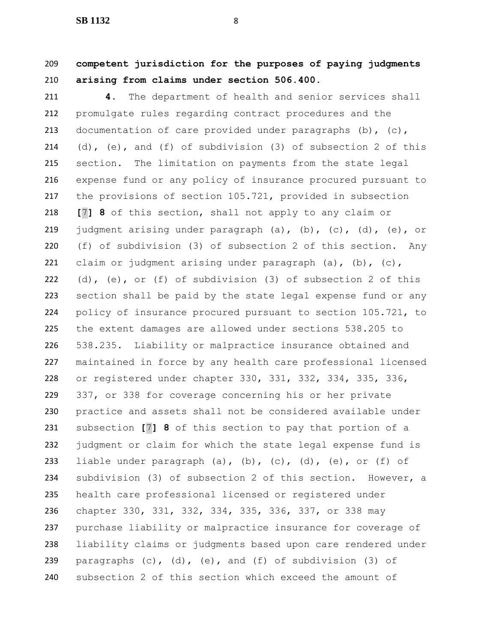**competent jurisdiction for the purposes of paying judgments arising from claims under section 506.400.**

 **4.** The department of health and senior services shall promulgate rules regarding contract procedures and the 213 documentation of care provided under paragraphs (b), (c), (d), (e), and (f) of subdivision (3) of subsection 2 of this section. The limitation on payments from the state legal expense fund or any policy of insurance procured pursuant to the provisions of section 105.721, provided in subsection **[**7**] 8** of this section, shall not apply to any claim or judgment arising under paragraph (a), (b), (c), (d), (e), or (f) of subdivision (3) of subsection 2 of this section. Any 221 claim or judgment arising under paragraph  $(a)$ ,  $(b)$ ,  $(c)$ , (d), (e), or (f) of subdivision (3) of subsection 2 of this section shall be paid by the state legal expense fund or any policy of insurance procured pursuant to section 105.721, to the extent damages are allowed under sections 538.205 to 538.235. Liability or malpractice insurance obtained and maintained in force by any health care professional licensed or registered under chapter 330, 331, 332, 334, 335, 336, 337, or 338 for coverage concerning his or her private practice and assets shall not be considered available under subsection **[**7**] 8** of this section to pay that portion of a judgment or claim for which the state legal expense fund is 233 liable under paragraph (a), (b), (c), (d), (e), or (f) of subdivision (3) of subsection 2 of this section. However, a health care professional licensed or registered under chapter 330, 331, 332, 334, 335, 336, 337, or 338 may purchase liability or malpractice insurance for coverage of liability claims or judgments based upon care rendered under paragraphs (c), (d), (e), and (f) of subdivision (3) of subsection 2 of this section which exceed the amount of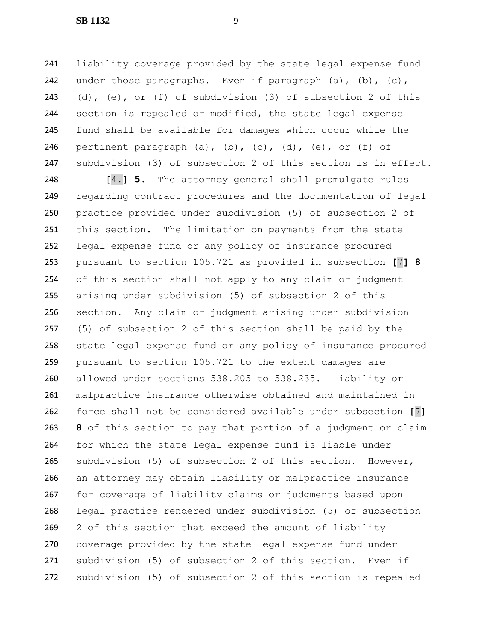liability coverage provided by the state legal expense fund 242 under those paragraphs. Even if paragraph (a), (b), (c), (d), (e), or (f) of subdivision (3) of subsection 2 of this section is repealed or modified, the state legal expense fund shall be available for damages which occur while the 246 pertinent paragraph (a), (b), (c), (d), (e), or (f) of subdivision (3) of subsection 2 of this section is in effect.

 **[**4.**] 5.** The attorney general shall promulgate rules regarding contract procedures and the documentation of legal practice provided under subdivision (5) of subsection 2 of this section. The limitation on payments from the state legal expense fund or any policy of insurance procured pursuant to section 105.721 as provided in subsection **[**7**] 8** of this section shall not apply to any claim or judgment arising under subdivision (5) of subsection 2 of this section. Any claim or judgment arising under subdivision (5) of subsection 2 of this section shall be paid by the state legal expense fund or any policy of insurance procured pursuant to section 105.721 to the extent damages are allowed under sections 538.205 to 538.235. Liability or malpractice insurance otherwise obtained and maintained in force shall not be considered available under subsection **[**7**] 8** of this section to pay that portion of a judgment or claim for which the state legal expense fund is liable under subdivision (5) of subsection 2 of this section. However, an attorney may obtain liability or malpractice insurance for coverage of liability claims or judgments based upon legal practice rendered under subdivision (5) of subsection 2 of this section that exceed the amount of liability coverage provided by the state legal expense fund under subdivision (5) of subsection 2 of this section. Even if subdivision (5) of subsection 2 of this section is repealed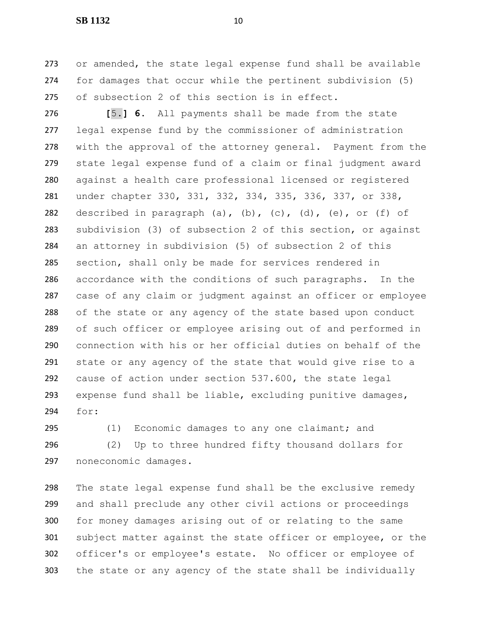or amended, the state legal expense fund shall be available for damages that occur while the pertinent subdivision (5) of subsection 2 of this section is in effect.

 **[**5.**] 6.** All payments shall be made from the state legal expense fund by the commissioner of administration with the approval of the attorney general. Payment from the state legal expense fund of a claim or final judgment award against a health care professional licensed or registered under chapter 330, 331, 332, 334, 335, 336, 337, or 338, 282 described in paragraph (a), (b), (c), (d), (e), or (f) of subdivision (3) of subsection 2 of this section, or against an attorney in subdivision (5) of subsection 2 of this section, shall only be made for services rendered in accordance with the conditions of such paragraphs. In the case of any claim or judgment against an officer or employee of the state or any agency of the state based upon conduct of such officer or employee arising out of and performed in connection with his or her official duties on behalf of the state or any agency of the state that would give rise to a cause of action under section 537.600, the state legal expense fund shall be liable, excluding punitive damages, for:

 (1) Economic damages to any one claimant; and (2) Up to three hundred fifty thousand dollars for noneconomic damages.

 The state legal expense fund shall be the exclusive remedy and shall preclude any other civil actions or proceedings for money damages arising out of or relating to the same subject matter against the state officer or employee, or the officer's or employee's estate. No officer or employee of the state or any agency of the state shall be individually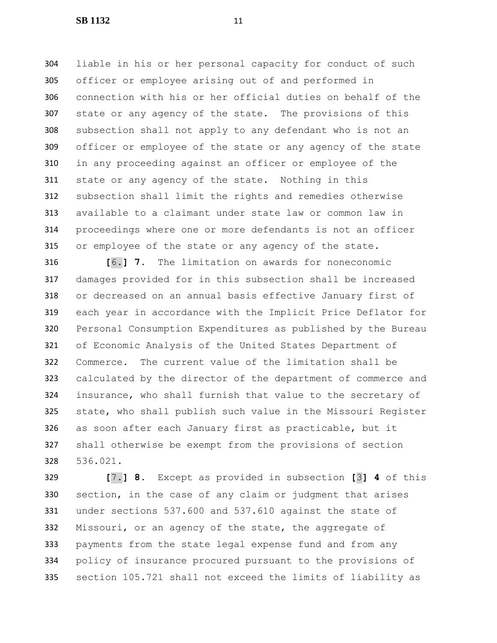liable in his or her personal capacity for conduct of such officer or employee arising out of and performed in connection with his or her official duties on behalf of the state or any agency of the state. The provisions of this subsection shall not apply to any defendant who is not an officer or employee of the state or any agency of the state in any proceeding against an officer or employee of the state or any agency of the state. Nothing in this subsection shall limit the rights and remedies otherwise available to a claimant under state law or common law in proceedings where one or more defendants is not an officer or employee of the state or any agency of the state.

 **[**6.**] 7.** The limitation on awards for noneconomic damages provided for in this subsection shall be increased or decreased on an annual basis effective January first of each year in accordance with the Implicit Price Deflator for Personal Consumption Expenditures as published by the Bureau of Economic Analysis of the United States Department of Commerce. The current value of the limitation shall be calculated by the director of the department of commerce and insurance, who shall furnish that value to the secretary of state, who shall publish such value in the Missouri Register as soon after each January first as practicable, but it shall otherwise be exempt from the provisions of section 536.021.

 **[**7.**] 8.** Except as provided in subsection **[**3**] 4** of this section, in the case of any claim or judgment that arises under sections 537.600 and 537.610 against the state of Missouri, or an agency of the state, the aggregate of payments from the state legal expense fund and from any policy of insurance procured pursuant to the provisions of section 105.721 shall not exceed the limits of liability as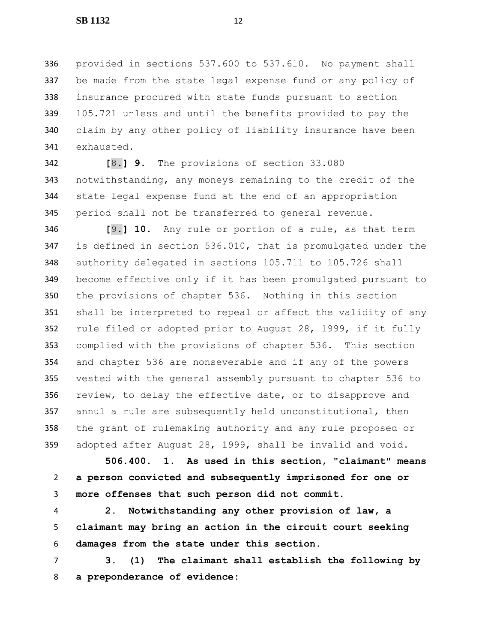provided in sections 537.600 to 537.610. No payment shall be made from the state legal expense fund or any policy of insurance procured with state funds pursuant to section 105.721 unless and until the benefits provided to pay the claim by any other policy of liability insurance have been exhausted.

 **[**8.**] 9.** The provisions of section 33.080 notwithstanding, any moneys remaining to the credit of the state legal expense fund at the end of an appropriation period shall not be transferred to general revenue.

 **[**9.**] 10.** Any rule or portion of a rule, as that term is defined in section 536.010, that is promulgated under the authority delegated in sections 105.711 to 105.726 shall become effective only if it has been promulgated pursuant to the provisions of chapter 536. Nothing in this section shall be interpreted to repeal or affect the validity of any rule filed or adopted prior to August 28, 1999, if it fully complied with the provisions of chapter 536. This section and chapter 536 are nonseverable and if any of the powers vested with the general assembly pursuant to chapter 536 to 356 review, to delay the effective date, or to disapprove and annul a rule are subsequently held unconstitutional, then the grant of rulemaking authority and any rule proposed or adopted after August 28, 1999, shall be invalid and void.

 **506.400. 1. As used in this section, "claimant" means a person convicted and subsequently imprisoned for one or more offenses that such person did not commit.**

 **2. Notwithstanding any other provision of law, a claimant may bring an action in the circuit court seeking damages from the state under this section.**

 **3. (1) The claimant shall establish the following by a preponderance of evidence:**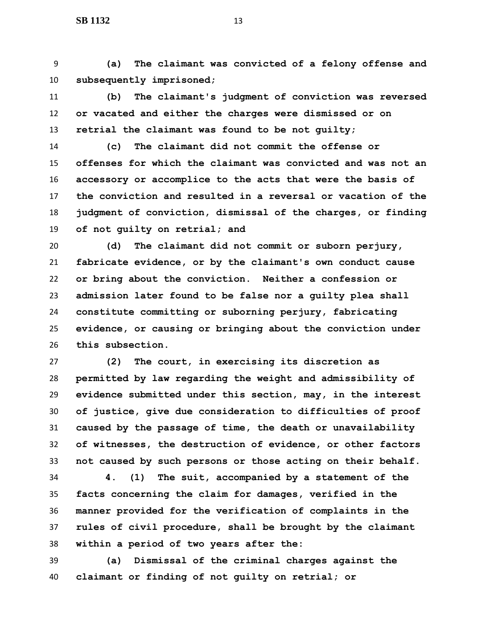**(a) The claimant was convicted of a felony offense and subsequently imprisoned;**

 **(b) The claimant's judgment of conviction was reversed or vacated and either the charges were dismissed or on retrial the claimant was found to be not guilty;**

 **(c) The claimant did not commit the offense or offenses for which the claimant was convicted and was not an accessory or accomplice to the acts that were the basis of the conviction and resulted in a reversal or vacation of the judgment of conviction, dismissal of the charges, or finding of not guilty on retrial; and**

 **(d) The claimant did not commit or suborn perjury, fabricate evidence, or by the claimant's own conduct cause or bring about the conviction. Neither a confession or admission later found to be false nor a guilty plea shall constitute committing or suborning perjury, fabricating evidence, or causing or bringing about the conviction under this subsection.**

 **(2) The court, in exercising its discretion as permitted by law regarding the weight and admissibility of evidence submitted under this section, may, in the interest of justice, give due consideration to difficulties of proof caused by the passage of time, the death or unavailability of witnesses, the destruction of evidence, or other factors not caused by such persons or those acting on their behalf.**

 **4. (1) The suit, accompanied by a statement of the facts concerning the claim for damages, verified in the manner provided for the verification of complaints in the rules of civil procedure, shall be brought by the claimant within a period of two years after the:**

 **(a) Dismissal of the criminal charges against the claimant or finding of not guilty on retrial; or**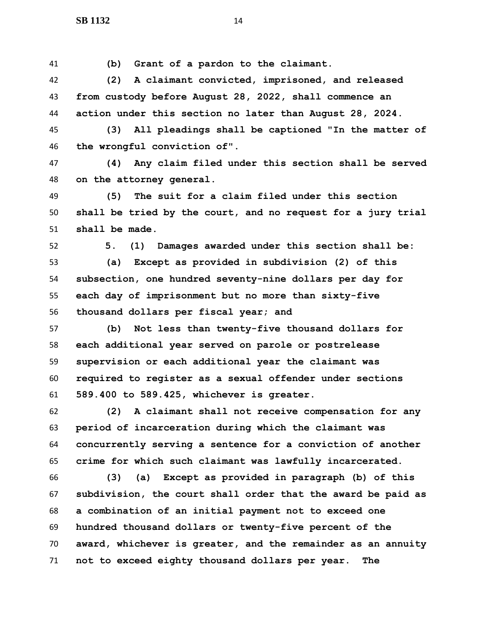**(b) Grant of a pardon to the claimant.**

 **(2) A claimant convicted, imprisoned, and released from custody before August 28, 2022, shall commence an action under this section no later than August 28, 2024.**

 **(3) All pleadings shall be captioned "In the matter of the wrongful conviction of".**

 **(4) Any claim filed under this section shall be served on the attorney general.**

 **(5) The suit for a claim filed under this section shall be tried by the court, and no request for a jury trial shall be made.**

**5. (1) Damages awarded under this section shall be:**

 **(a) Except as provided in subdivision (2) of this subsection, one hundred seventy-nine dollars per day for each day of imprisonment but no more than sixty-five thousand dollars per fiscal year; and**

 **(b) Not less than twenty-five thousand dollars for each additional year served on parole or postrelease supervision or each additional year the claimant was required to register as a sexual offender under sections 589.400 to 589.425, whichever is greater.**

 **(2) A claimant shall not receive compensation for any period of incarceration during which the claimant was concurrently serving a sentence for a conviction of another crime for which such claimant was lawfully incarcerated.**

 **(3) (a) Except as provided in paragraph (b) of this subdivision, the court shall order that the award be paid as a combination of an initial payment not to exceed one hundred thousand dollars or twenty-five percent of the award, whichever is greater, and the remainder as an annuity not to exceed eighty thousand dollars per year. The**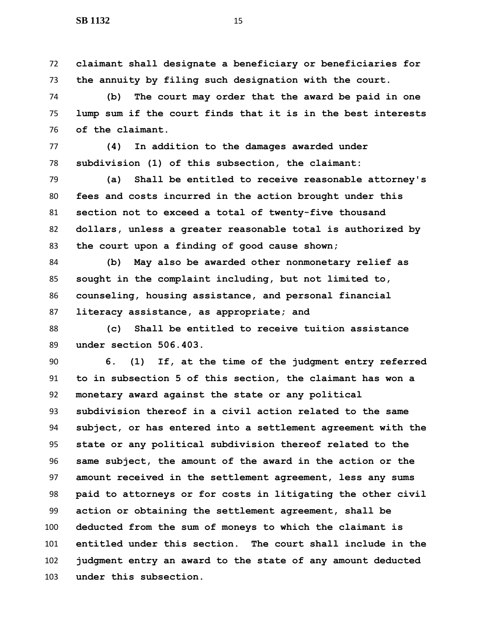**claimant shall designate a beneficiary or beneficiaries for the annuity by filing such designation with the court.**

 **(b) The court may order that the award be paid in one lump sum if the court finds that it is in the best interests of the claimant.**

 **(4) In addition to the damages awarded under subdivision (1) of this subsection, the claimant:**

 **(a) Shall be entitled to receive reasonable attorney's fees and costs incurred in the action brought under this section not to exceed a total of twenty-five thousand dollars, unless a greater reasonable total is authorized by the court upon a finding of good cause shown;**

 **(b) May also be awarded other nonmonetary relief as sought in the complaint including, but not limited to, counseling, housing assistance, and personal financial literacy assistance, as appropriate; and**

 **(c) Shall be entitled to receive tuition assistance under section 506.403.**

 **6. (1) If, at the time of the judgment entry referred to in subsection 5 of this section, the claimant has won a monetary award against the state or any political subdivision thereof in a civil action related to the same subject, or has entered into a settlement agreement with the state or any political subdivision thereof related to the same subject, the amount of the award in the action or the amount received in the settlement agreement, less any sums paid to attorneys or for costs in litigating the other civil action or obtaining the settlement agreement, shall be deducted from the sum of moneys to which the claimant is entitled under this section. The court shall include in the judgment entry an award to the state of any amount deducted under this subsection.**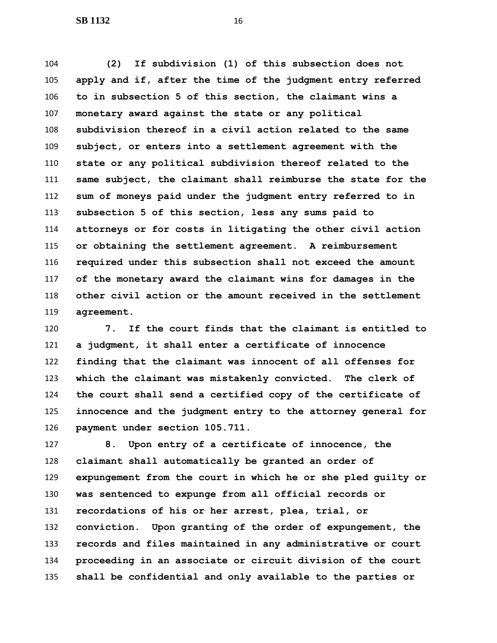**(2) If subdivision (1) of this subsection does not apply and if, after the time of the judgment entry referred to in subsection 5 of this section, the claimant wins a monetary award against the state or any political subdivision thereof in a civil action related to the same subject, or enters into a settlement agreement with the state or any political subdivision thereof related to the same subject, the claimant shall reimburse the state for the sum of moneys paid under the judgment entry referred to in subsection 5 of this section, less any sums paid to attorneys or for costs in litigating the other civil action or obtaining the settlement agreement. A reimbursement required under this subsection shall not exceed the amount of the monetary award the claimant wins for damages in the other civil action or the amount received in the settlement agreement.**

 **7. If the court finds that the claimant is entitled to a judgment, it shall enter a certificate of innocence finding that the claimant was innocent of all offenses for which the claimant was mistakenly convicted. The clerk of the court shall send a certified copy of the certificate of innocence and the judgment entry to the attorney general for payment under section 105.711.**

 **8. Upon entry of a certificate of innocence, the claimant shall automatically be granted an order of expungement from the court in which he or she pled guilty or was sentenced to expunge from all official records or recordations of his or her arrest, plea, trial, or conviction. Upon granting of the order of expungement, the records and files maintained in any administrative or court proceeding in an associate or circuit division of the court shall be confidential and only available to the parties or**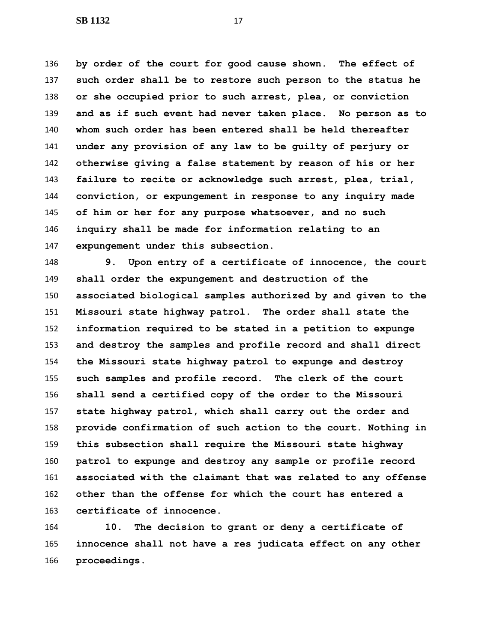**by order of the court for good cause shown. The effect of such order shall be to restore such person to the status he or she occupied prior to such arrest, plea, or conviction and as if such event had never taken place. No person as to whom such order has been entered shall be held thereafter under any provision of any law to be guilty of perjury or otherwise giving a false statement by reason of his or her failure to recite or acknowledge such arrest, plea, trial, conviction, or expungement in response to any inquiry made of him or her for any purpose whatsoever, and no such inquiry shall be made for information relating to an expungement under this subsection.**

 **9. Upon entry of a certificate of innocence, the court shall order the expungement and destruction of the associated biological samples authorized by and given to the Missouri state highway patrol. The order shall state the information required to be stated in a petition to expunge and destroy the samples and profile record and shall direct the Missouri state highway patrol to expunge and destroy such samples and profile record. The clerk of the court shall send a certified copy of the order to the Missouri state highway patrol, which shall carry out the order and provide confirmation of such action to the court. Nothing in this subsection shall require the Missouri state highway patrol to expunge and destroy any sample or profile record associated with the claimant that was related to any offense other than the offense for which the court has entered a certificate of innocence.**

 **10. The decision to grant or deny a certificate of innocence shall not have a res judicata effect on any other proceedings.**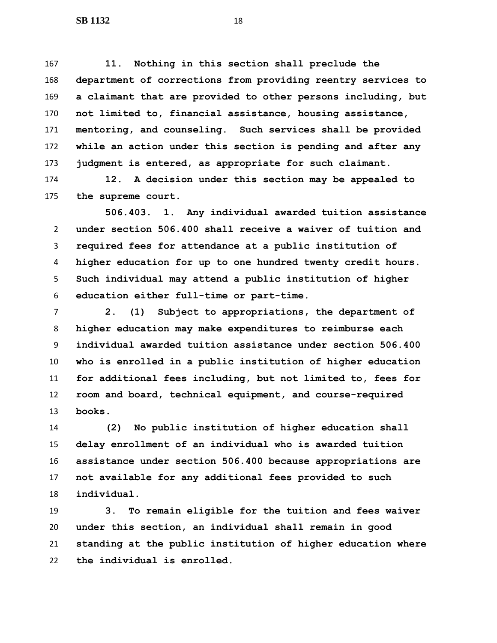**11. Nothing in this section shall preclude the department of corrections from providing reentry services to a claimant that are provided to other persons including, but not limited to, financial assistance, housing assistance, mentoring, and counseling. Such services shall be provided while an action under this section is pending and after any judgment is entered, as appropriate for such claimant.**

 **12. A decision under this section may be appealed to the supreme court.**

 **506.403. 1. Any individual awarded tuition assistance under section 506.400 shall receive a waiver of tuition and required fees for attendance at a public institution of higher education for up to one hundred twenty credit hours. Such individual may attend a public institution of higher education either full-time or part-time.**

 **2. (1) Subject to appropriations, the department of higher education may make expenditures to reimburse each individual awarded tuition assistance under section 506.400 who is enrolled in a public institution of higher education for additional fees including, but not limited to, fees for room and board, technical equipment, and course-required books.**

 **(2) No public institution of higher education shall delay enrollment of an individual who is awarded tuition assistance under section 506.400 because appropriations are not available for any additional fees provided to such individual.**

 **3. To remain eligible for the tuition and fees waiver under this section, an individual shall remain in good standing at the public institution of higher education where the individual is enrolled.**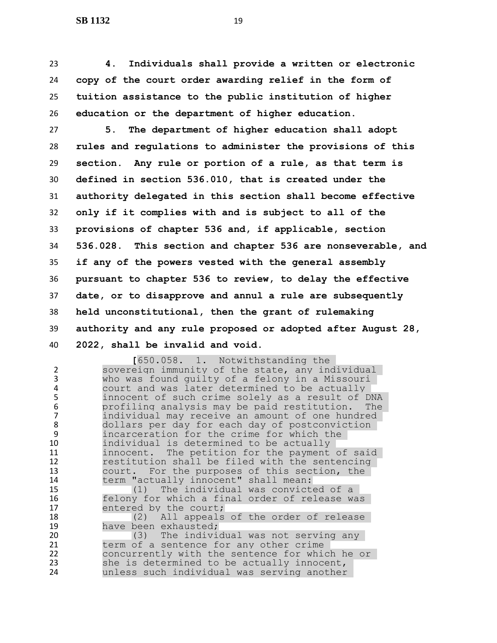**4. Individuals shall provide a written or electronic copy of the court order awarding relief in the form of tuition assistance to the public institution of higher education or the department of higher education.**

 **5. The department of higher education shall adopt rules and regulations to administer the provisions of this section. Any rule or portion of a rule, as that term is defined in section 536.010, that is created under the authority delegated in this section shall become effective only if it complies with and is subject to all of the provisions of chapter 536 and, if applicable, section 536.028. This section and chapter 536 are nonseverable, and if any of the powers vested with the general assembly pursuant to chapter 536 to review, to delay the effective date, or to disapprove and annul a rule are subsequently held unconstitutional, then the grant of rulemaking authority and any rule proposed or adopted after August 28, 2022, shall be invalid and void.**

1. Notwithstanding the<br>Sovereign immunity of the state, any inc sovereign immunity of the state, any individual who was found guilty of a felony in a Missouri 4 court and was later determined to be actually<br>5 innocent of such crime solely as a result of D innocent of such crime solely as a result of DNA profiling analysis may be paid restitution. The 7 individual may receive an amount of one hundred<br>8 dollars per day for each day of postconviction 8 dollars per day for each day of postconviction<br>9 incarceration for the crime for which the incarceration for the crime for which the individual is determined to be actually innocent. The petition for the payment of said restitution shall be filed with the sentencing court. For the purposes of this section, the term "actually innocent" shall mean: (1) The individual was convicted of a 16 felony for which a final order of release was<br>17 fentered by the court; 17 entered by the court;<br>18 (2) All appeals 18 (2) All appeals of the order of release<br>19 have been exhausted; 19 have been exhausted;<br>20 (3) The indivious 20 (3) The individual was not serving any<br>21 term of a sentence for any other crime 21 term of a sentence for any other crime<br>22 concurrently with the sentence for whic concurrently with the sentence for which he or she is determined to be actually innocent, unless such individual was serving another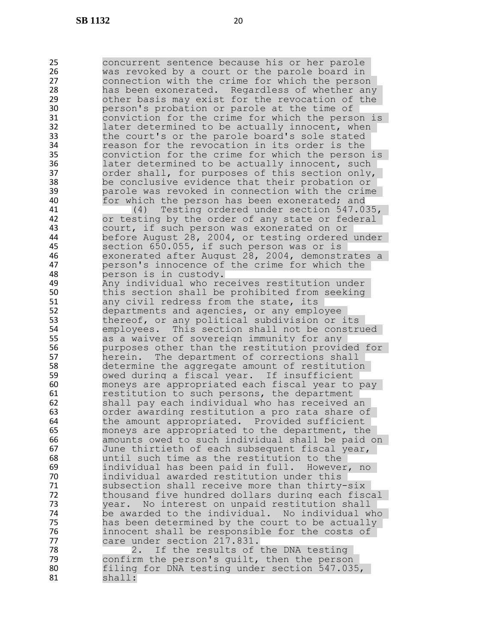25 concurrent sentence because his or her parole<br>26 was revoked by a court or the parole board in 26 was revoked by a court or the parole board in<br>27 connection with the crime for which the person 27 connection with the crime for which the person<br>28 has been exonerated. Regardless of whether any 28 has been exonerated. Regardless of whether any<br>29 bother basis may exist for the revocation of the 29 other basis may exist for the revocation of the<br>30 berson's probation or parole at the time of 30 **person's probation or parole at the time of**<br>31 **beta conviction for the crime for which the pers** conviction for the crime for which the person is 32 later determined to be actually innocent, when 33 the court's or the parole board's sole stated 34 reason for the revocation in its order is the<br>35 conviction for the crime for which the person 35 conviction for the crime for which the person is<br>36 and later determined to be actually innocent, such 36 later determined to be actually innocent, such<br>37 order shall, for purposes of this section only, 37 order shall, for purposes of this section only,<br>38 be conclusive evidence that their probation or 38 be conclusive evidence that their probation or 39 being parole was revoked in connection with the crime<br>30 being the person has been exonerated: and for which the person has been exonerated; and 41 (4) Testing ordered under section 547.035,<br>42 or testing by the order of any state or federal 42 or testing by the order of any state or federal<br>43 court, if such person was exonerated on or 43 court, if such person was exonerated on or<br>44 before August 28, 2004, or testing ordered 44 before August 28, 2004, or testing ordered under<br>45 Section 650.055, if such person was or is section 650.055, if such person was or is 46 exonerated after August 28, 2004, demonstrates a 47 person's innocence of the crime for which the 48 person is in custody. 49 Any individual who receives restitution under<br>50 this section shall be prohibited from seeking this section shall be prohibited from seeking 51 any civil redress from the state, its 52 departments and agencies, or any employee 53 thereof, or any political subdivision or its 54 employees. This section shall not be construed 55 as a waiver of sovereign immunity for any<br>56 burposes other than the restitution provio 56 purposes other than the restitution provided for<br>57 herein. The department of corrections shall 57 herein. The department of corrections shall<br>58 determine the aggregate amount of restitution 58 determine the aggregate amount of restitution<br>59 owed during a fiscal year. If insufficient 59 owed during a fiscal year. If insufficient<br>50 only moneys are appropriated each fiscal year to moneys are appropriated each fiscal year to pay 61 restitution to such persons, the department 62 shall pay each individual who has received an<br>63 order awarding restitution a pro rata share o order awarding restitution a pro rata share of 64 the amount appropriated. Provided sufficient 65 moneys are appropriated to the department, the 66 amounts owed to such individual shall be paid on 67 June thirtieth of each subsequent fiscal year, 68 until such time as the restitution to the 69 individual has been paid in full. However, no 70 individual awarded restitution under this 71 Subsection shall receive more than thirty-six<br>72 thousand five hundred dollars during each fisc 72 thousand five hundred dollars during each fiscal 73 year. No interest on unpaid restitution shall<br>74 be awarded to the individual. No individual w 74 be awarded to the individual. No individual who<br>75 has been determined by the court to be actually 75 has been determined by the court to be actually<br>76 http://www.maillibe.responsible for the costs of 76 innocent shall be responsible for the costs of<br>77 care under section 217.831. 77 care under section 217.831.<br>78 2. If the results of 2. If the results of the DNA testing 79 confirm the person's guilt, then the person 80 filing for DNA testing under section 547.035, 81 shall: